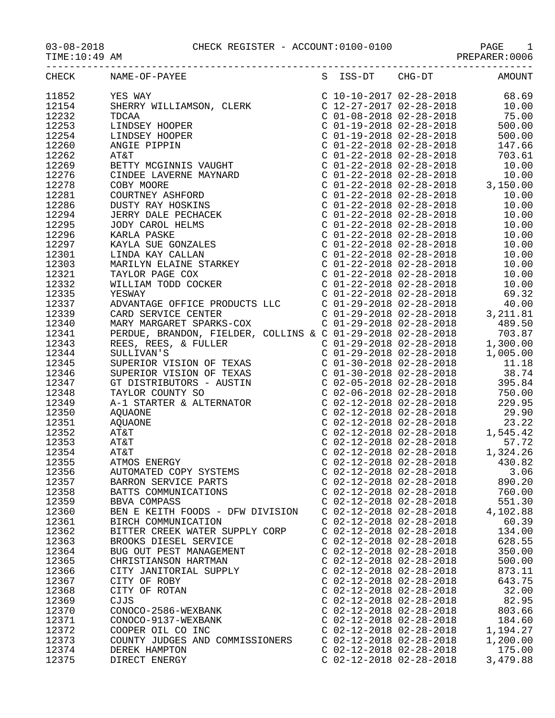## 03-08-2018 CHECK REGISTER - ACCOUNT:0100-0100 PAGE 1

PREPARER:0006

|       | CHECK NAME-OF-PAYEE              |                           | S ISS-DT CHG-DT AMOUNT    |          |
|-------|----------------------------------|---------------------------|---------------------------|----------|
|       |                                  |                           |                           |          |
|       |                                  |                           |                           |          |
|       |                                  |                           |                           |          |
|       |                                  |                           |                           |          |
|       |                                  |                           |                           |          |
|       |                                  |                           |                           |          |
|       |                                  |                           |                           |          |
|       |                                  |                           |                           |          |
|       |                                  |                           |                           |          |
|       |                                  |                           |                           |          |
|       |                                  |                           |                           |          |
|       |                                  |                           |                           |          |
|       |                                  |                           |                           |          |
|       |                                  |                           |                           |          |
|       |                                  |                           |                           |          |
|       |                                  |                           |                           |          |
|       |                                  |                           |                           |          |
|       |                                  |                           |                           |          |
|       |                                  |                           |                           |          |
|       |                                  |                           |                           |          |
|       |                                  |                           |                           |          |
|       |                                  |                           |                           |          |
|       |                                  |                           |                           |          |
|       |                                  |                           |                           |          |
|       |                                  |                           |                           |          |
|       |                                  |                           |                           |          |
|       |                                  |                           |                           |          |
|       |                                  |                           |                           |          |
|       |                                  |                           |                           |          |
|       |                                  |                           |                           |          |
|       |                                  |                           |                           |          |
|       |                                  |                           |                           |          |
|       |                                  |                           |                           |          |
|       |                                  |                           |                           |          |
|       |                                  |                           |                           |          |
|       |                                  |                           |                           |          |
|       |                                  |                           |                           |          |
|       |                                  |                           |                           |          |
|       |                                  |                           |                           |          |
|       |                                  |                           |                           |          |
|       |                                  |                           |                           |          |
| 12356 | AUTOMATED COPY SYSTEMS           |                           | $C$ 02-12-2018 02-28-2018 | 3.06     |
| 12357 | BARRON SERVICE PARTS             | $C$ 02-12-2018 02-28-2018 |                           | 890.20   |
| 12358 | BATTS COMMUNICATIONS             | $C$ 02-12-2018 02-28-2018 |                           | 760.00   |
| 12359 | BBVA COMPASS                     | $C$ 02-12-2018 02-28-2018 |                           | 551.30   |
| 12360 | BEN E KEITH FOODS - DFW DIVISION | $C$ 02-12-2018 02-28-2018 |                           | 4,102.88 |
|       |                                  |                           |                           |          |
| 12361 | BIRCH COMMUNICATION              | $C$ 02-12-2018 02-28-2018 |                           | 60.39    |
| 12362 | BITTER CREEK WATER SUPPLY CORP   | $C$ 02-12-2018 02-28-2018 |                           | 134.00   |
| 12363 | BROOKS DIESEL SERVICE            | $C$ 02-12-2018 02-28-2018 |                           | 628.55   |
| 12364 | BUG OUT PEST MANAGEMENT          | $C$ 02-12-2018 02-28-2018 |                           | 350.00   |
| 12365 | CHRISTIANSON HARTMAN             | $C$ 02-12-2018 02-28-2018 |                           | 500.00   |
| 12366 | CITY JANITORIAL SUPPLY           | $C$ 02-12-2018 02-28-2018 |                           | 873.11   |
| 12367 | CITY OF ROBY                     | $C$ 02-12-2018 02-28-2018 |                           | 643.75   |
| 12368 | CITY OF ROTAN                    | C 02-12-2018 02-28-2018   |                           | 32.00    |
| 12369 | CJJS                             | $C$ 02-12-2018 02-28-2018 |                           | 82.95    |
| 12370 | CONOCO-2586-WEXBANK              | $C$ 02-12-2018 02-28-2018 |                           | 803.66   |
| 12371 | CONOCO-9137-WEXBANK              | $C$ 02-12-2018 02-28-2018 |                           | 184.60   |
| 12372 | COOPER OIL CO INC                | $C$ 02-12-2018 02-28-2018 |                           | 1,194.27 |
| 12373 | COUNTY JUDGES AND COMMISSIONERS  | $C$ 02-12-2018 02-28-2018 |                           | 1,200.00 |
| 12374 | DEREK HAMPTON                    | $C$ 02-12-2018 02-28-2018 |                           | 175.00   |
|       |                                  |                           |                           |          |
| 12375 | DIRECT ENERGY                    | $C$ 02-12-2018 02-28-2018 |                           | 3,479.88 |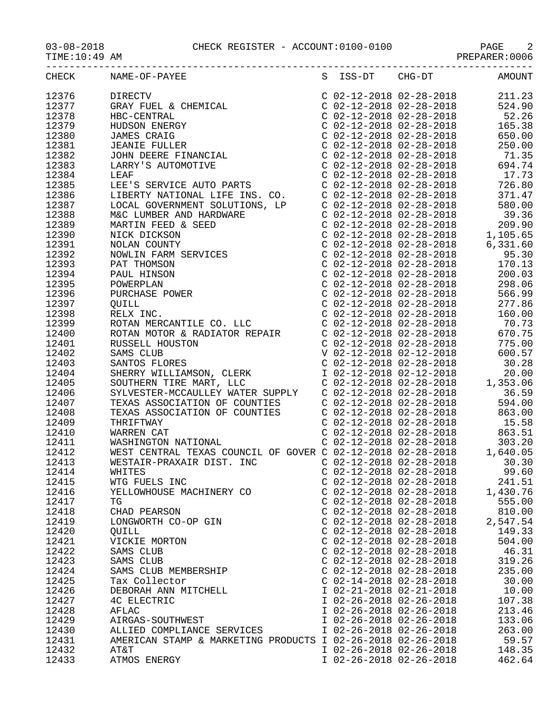## 03-08-2018 CHECK REGISTER - ACCOUNT:0100-0100 PAGE 2

TIME:10:49 AM PREPARER:0006

| 12412 | WEST CENTRAL TEXAS COUNCIL OF GOVER C 02-12-2018 02-28-2018 1,640.05 |                           |                           |          |
|-------|----------------------------------------------------------------------|---------------------------|---------------------------|----------|
| 12413 | WESTAIR-PRAXAIR DIST. INC                                            |                           | $C$ 02-12-2018 02-28-2018 | 30.30    |
| 12414 | WHITES                                                               | $C$ 02-12-2018 02-28-2018 |                           | 99.60    |
| 12415 | WTG FUELS INC                                                        | $C$ 02-12-2018 02-28-2018 |                           | 241.51   |
| 12416 | YELLOWHOUSE MACHINERY CO                                             | $C$ 02-12-2018 02-28-2018 |                           | 1,430.76 |
| 12417 | TG                                                                   | $C$ 02-12-2018 02-28-2018 |                           | 555.00   |
| 12418 | CHAD PEARSON                                                         | C 02-12-2018 02-28-2018   |                           | 810.00   |
| 12419 | LONGWORTH CO-OP GIN                                                  | C 02-12-2018 02-28-2018   |                           | 2,547.54 |
| 12420 | QUILL                                                                | $C$ 02-12-2018 02-28-2018 |                           | 149.33   |
| 12421 | VICKIE MORTON                                                        | $C$ 02-12-2018 02-28-2018 |                           | 504.00   |
| 12422 | SAMS CLUB                                                            | $C$ 02-12-2018 02-28-2018 |                           | 46.31    |
| 12423 | SAMS CLUB                                                            | $C$ 02-12-2018 02-28-2018 |                           | 319.26   |
| 12424 | SAMS CLUB MEMBERSHIP                                                 | $C$ 02-12-2018 02-28-2018 |                           | 235.00   |
| 12425 | Tax Collector                                                        | $C$ 02-14-2018 02-28-2018 |                           | 30.00    |
| 12426 | DEBORAH ANN MITCHELL                                                 | I 02-21-2018 02-21-2018   |                           | 10.00    |
| 12427 | 4C ELECTRIC                                                          | I 02-26-2018 02-26-2018   |                           | 107.38   |
|       |                                                                      |                           |                           |          |

12428 AFLAC I 02-26-2018 02-26-2018 213.46

12430 ALLIED COMPLIANCE SERVICES I 02-26-2018 02-26-2018 263.00 12431 AMERICAN STAMP & MARKETING PRODUCTS I 02-26-2018 02-26-2018 59.57<br>12432 AT&T 12432 I 02-26-2018 02-26-2018 148.35 12432 AT&T I 02-26-2018 02-26-2018 148.35 12433 ATMOS ENERGY I 02-26-2018 02-26-2018 462.64

1 02-26-2018 02-26-2018 133.06<br>1 02-26-2018 02-26-2018 263.00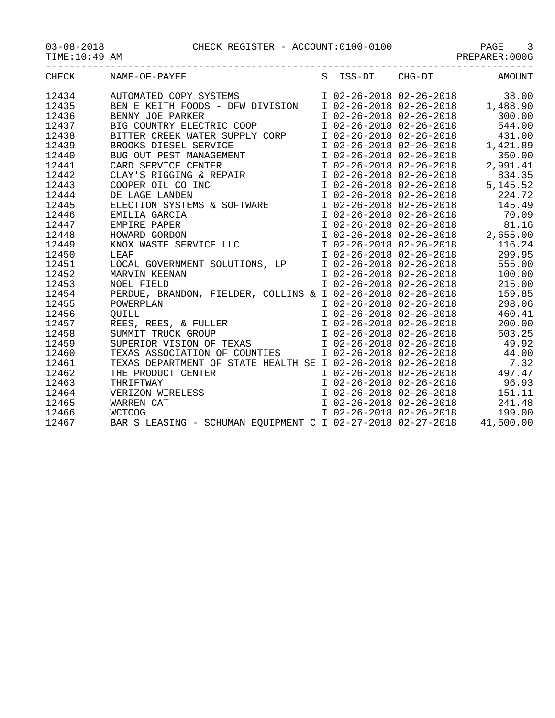03-08-2018 CHECK REGISTER - ACCOUNT:0100-0100 PAGE 3

TIME:10:49 AM PREPARER:0006

|       | CHECK NAME-OF-PAYEE S ISS-DT CHG-DT AMOUNT                                                                                                                                                                                                                                       |  |  |
|-------|----------------------------------------------------------------------------------------------------------------------------------------------------------------------------------------------------------------------------------------------------------------------------------|--|--|
|       |                                                                                                                                                                                                                                                                                  |  |  |
|       |                                                                                                                                                                                                                                                                                  |  |  |
|       |                                                                                                                                                                                                                                                                                  |  |  |
|       |                                                                                                                                                                                                                                                                                  |  |  |
|       |                                                                                                                                                                                                                                                                                  |  |  |
|       |                                                                                                                                                                                                                                                                                  |  |  |
|       |                                                                                                                                                                                                                                                                                  |  |  |
|       |                                                                                                                                                                                                                                                                                  |  |  |
|       |                                                                                                                                                                                                                                                                                  |  |  |
|       |                                                                                                                                                                                                                                                                                  |  |  |
|       |                                                                                                                                                                                                                                                                                  |  |  |
|       |                                                                                                                                                                                                                                                                                  |  |  |
|       |                                                                                                                                                                                                                                                                                  |  |  |
| 12446 |                                                                                                                                                                                                                                                                                  |  |  |
| 12447 | EMILIA GARCIA<br>EMILIA GARCIA<br>EMPIRE PAPER<br>HOWARD GORDON<br>KNOX WASTE SERVICE LLC<br>LEAF<br>LEAF<br>COLLER<br>LEAF<br>COLLER<br>COLLER<br>COLLER<br>COLLER<br>COLLER<br>COLLER<br>COLLER<br>COLLER<br>COLLER<br>COLLER<br>COLLER<br>COLLER<br>COLLER<br>COLLER<br>C     |  |  |
| 12448 |                                                                                                                                                                                                                                                                                  |  |  |
| 12449 |                                                                                                                                                                                                                                                                                  |  |  |
| 12450 |                                                                                                                                                                                                                                                                                  |  |  |
| 12451 | LOCAL GOVERNMENT SOLUTIONS, LP $\begin{array}{cccc} 1 & 02-26-2018 & 02-26-2018 & 555.00 \\ \text{MAXVIN KEENAN} & & & & & 102-26-2018 & 02-26-2018 & 555.00 \\ \text{NOEL FIELD} & & & & & 100.00 \\ \text{NOEL FIELD} & & & & & 102-26-2018 & 02-26-2018 & 215.00 \end{array}$ |  |  |
| 12452 |                                                                                                                                                                                                                                                                                  |  |  |
| 12453 |                                                                                                                                                                                                                                                                                  |  |  |
| 12454 | PERDUE, BRANDON, FIELDER, COLLINS & I 02-26-2018 02-26-2018 159.85                                                                                                                                                                                                               |  |  |
| 12455 |                                                                                                                                                                                                                                                                                  |  |  |
| 12456 |                                                                                                                                                                                                                                                                                  |  |  |
| 12457 |                                                                                                                                                                                                                                                                                  |  |  |
| 12458 |                                                                                                                                                                                                                                                                                  |  |  |
| 12459 |                                                                                                                                                                                                                                                                                  |  |  |
| 12460 |                                                                                                                                                                                                                                                                                  |  |  |
| 12461 |                                                                                                                                                                                                                                                                                  |  |  |
| 12462 |                                                                                                                                                                                                                                                                                  |  |  |
| 12463 |                                                                                                                                                                                                                                                                                  |  |  |
| 12464 |                                                                                                                                                                                                                                                                                  |  |  |
| 12465 |                                                                                                                                                                                                                                                                                  |  |  |
| 12466 |                                                                                                                                                                                                                                                                                  |  |  |
| 12467 | PERDUE, BRANDON, FIELDER, COLLINS & I 02-26-2018 02-26-2018 199.8 06<br>DOWERLAN 1 02-26-2018 02-26-2018 298.06<br>QUILL 1 02-26-2018 02-26-2018 2206-2018 460.41<br>REES, REES, & FULLER 1 02-26-2018 02-26-2018 200.00<br>SUMMIT TRU                                           |  |  |